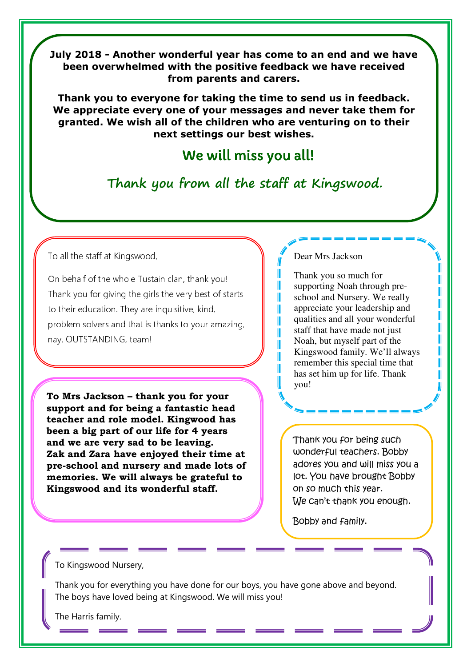**July 2018 - Another wonderful year has come to an end and we have been overwhelmed with the positive feedback we have received from parents and carers.** 

**Thank you to everyone for taking the time to send us in feedback. We appreciate every one of your messages and never take them for granted. We wish all of the children who are venturing on to their next settings our best wishes.** 

# We will miss you all!

**Thank you from all the staff at Kingswood.**

#### To all the staff at Kingswood,

Molly, Maisie and family.

On behalf of the whole Tustain clan, thank you! Thank you for giving the girls the very best of starts to their education. They are inquisitive, kind, problem solvers and that is thanks to your amazing, nay, OUTSTANDING, team!

**To Mrs Jackson – thank you for your support and for being a fantastic head teacher and role model. Kingwood has been a big part of our life for 4 years and we are very sad to be leaving. Zak and Zara have enjoyed their time at pre-school and nursery and made lots of memories. We will always be grateful to Kingswood and its wonderful staff.**

#### Dear Mrs Jackson

Γ Γ П T I Γ ľ T

Thank you so much for supporting Noah through preschool and Nursery. We really appreciate your leadership and qualities and all your wonderful staff that have made not just Noah, but myself part of the Kingswood family. We'll always remember this special time that has set him up for life. Thank you!

Thank you for being such wonderful teachers. Bobby adores you and will miss you a lot. You have brought Bobby on so much this year. We can't thank you enough.

Tracy, Kevin, Noah and Rei.

Bobby and family.

### To Kingswood Nursery,

Thank you for everything you have done for our boys, you have gone above and beyond. The boys have loved being at Kingswood. We will miss you!

The Harris family.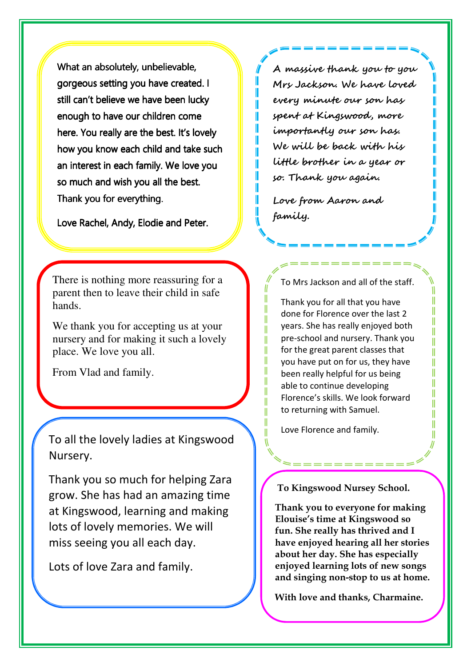What an absolutely, unbelievable, gorgeous setting you have created. I still can't believe we have been lucky enough to have our children come here. You really are the best. It's lovely how you know each child and take such an interest in each family. We love you so much and wish you all the best. Thank you for everything.

Love Rachel, Andy, Elodie and Peter.

There is nothing more reassuring for a parent then to leave their child in safe hands.

We thank you for accepting us at your nursery and for making it such a lovely place. We love you all.

From Vlad and family.

To all the lovely ladies at Kingswood Nursery.

Thank you so much for helping Zara grow. She has had an amazing time at Kingswood, learning and making lots of lovely memories. We will miss seeing you all each day.

Lots of love Zara and family.

**A massive thank you to you Mrs Jackson. We have loved every minute our son has spent at Kingswood, more importantly our son has. We will be back with his little brother in a year or so. Thank you again.** 

**Love from Aaron and family.** 

Т Ш

> Ш  $\parallel$

> $\parallel$

 $\parallel$ 

Ш

 $\parallel$ 

 $\mathsf{I}$ 

 $\parallel$ 

 $\parallel$ 

 $\parallel$ 

 $\mathbf{I}$ 

Ш

 $\mathbf{I}$ 

To Mrs Jackson and all of the staff.

Ш

Ш

II

Ш

T

Ш

Ш

H

Ш

II

H

II

Thank you for all that you have done for Florence over the last 2 years. She has really enjoyed both pre-school and nursery. Thank you for the great parent classes that you have put on for us, they have been really helpful for us being able to continue developing Florence's skills. We look forward to returning with Samuel.

Love Florence and family.

#### **To Kingswood Nursey School.**

**Thank you to everyone for making Elouise's time at Kingswood so fun. She really has thrived and I have enjoyed hearing all her stories about her day. She has especially enjoyed learning lots of new songs and singing non-stop to us at home.**

**With love and thanks, Charmaine.**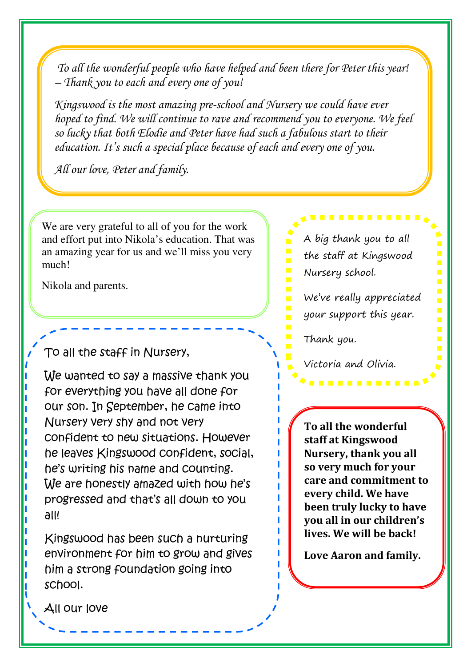*To all the wonderful people who have helped and been there for Peter this year! – Thank you to each and every one of you!* 

*Kingswood is the most amazing pre-school and Nursery we could have ever hoped to find. We will continue to rave and recommend you to everyone. We feel so lucky that both Elodie and Peter have had such a fabulous start to their education. It's such a special place because of each and every one of you.* 

*All our love, Peter and family.* 

We are very grateful to all of you for the work and effort put into Nikola's education. That was an amazing year for us and we'll miss you very much!

Nikola and parents.

To all the staff in Nursery,

We wanted to say a massive thank you for everything you have all done for our son. In September, he came into Nursery very shy and not very confident to new situations. However he leaves Kingswood confident, social, he's writing his name and counting. We are honestly amazed with how he's progressed and that's all down to you all!

Kingswood has been such a nurturing environment for him to grow and gives him a strong foundation going into school.

A big thank you to all the staff at Kingswood Nursery school.

We've really appreciated your support this year.

---------

Thank you.

Victoria and Olivia.

**To all the wonderful staff at Kingswood Nursery, thank you all so very much for your care and commitment to every child. We have been truly lucky to have you all in our children's lives. We will be back!** 

**Love Aaron and family.** 

All our love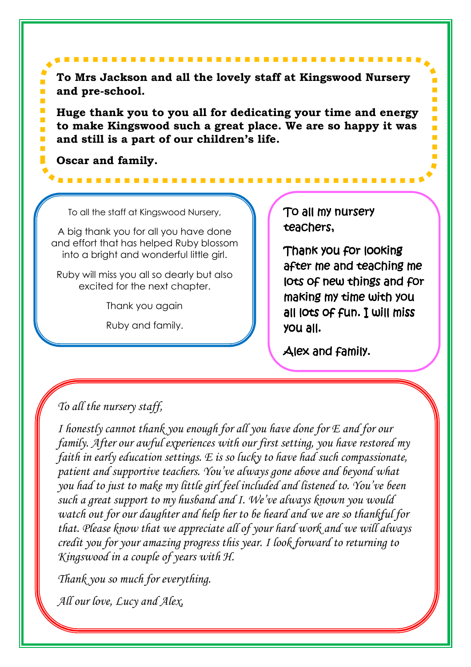**To Mrs Jackson and all the lovely staff at Kingswood Nursery and pre-school.** 

**Huge thank you to you all for dedicating your time and energy to make Kingswood such a great place. We are so happy it was and still is a part of our children's life.** 

**Oscar and family.** 

To all the staff at Kingswood Nursery,

A big thank you for all you have done and effort that has helped Ruby blossom into a bright and wonderful little girl.

Ruby will miss you all so dearly but also excited for the next chapter.

Thank you again

Ruby and family.

To all my nursery teachers,

Thank you for looking after me and teaching me lots of new things and for making my time with you making my time all lots of fun. I will miss you all. you all.

Alex and family.

# *To all the nursery staff,*

*I honestly cannot thank you enough for all you have done for E and for our family. After our awful experiences with our first setting, you have restored my faith in early education settings. E is so lucky to have had such compassionate, patient and supportive teachers. You've always gone above and beyond what you had to just to make my little girl feel included and listened to. You've been such a great support to my husband and I. We've always known you would watch out for our daughter and help her to be heard and we are so thankful for that. Please know that we appreciate all of your hard work and we will always credit you for your amazing progress this year. I look forward to returning to Kingswood in a couple of years with H.* 

*Thank you so much for everything.* 

*All our love, Lucy and Alex,*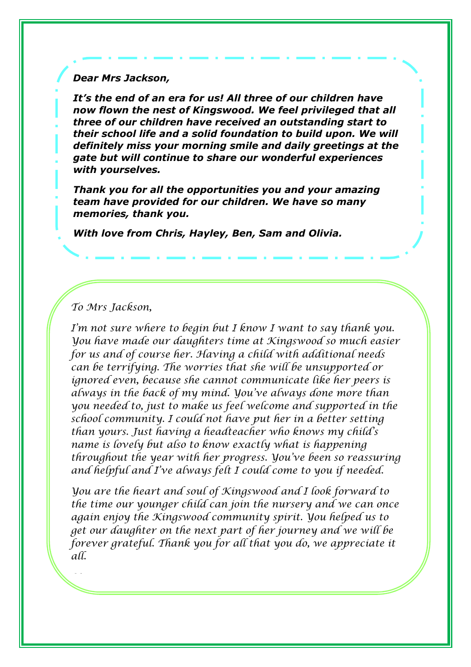*Dear Mrs Jackson,* 

*It's the end of an era for us! All three of our children have now flown the nest of Kingswood. We feel privileged that all three of our children have received an outstanding start to their school life and a solid foundation to build upon. We will definitely miss your morning smile and daily greetings at the gate but will continue to share our wonderful experiences with yourselves.* 

*Thank you for all the opportunities you and your amazing team have provided for our children. We have so many memories, thank you.* 

*With love from Chris, Hayley, Ben, Sam and Olivia.* 

## To Mrs Jackson,

and helpful and I've always felt I could come to you if needed. I'm not sure where to begin but I know I want to say thank you. You have made our daughters time at Kingswood so much easier for us and of course her. Having a child with additional needs can be terrifying. The worries that she will be unsupported or ignored even, because she cannot communicate like her peers is always in the back of my mind. You've always done more than you needed to, just to make us feel welcome and supported in the school community. I could not have put her in a better setting than yours. Just having a headteacher who knows my child's name is lovely but also to know exactly what is happening throughout the year with her progress. You've been so reassuring

You are the heart and soul of Kingswood and I look forward to the time our younger child can join the nursery and we can once again enjoy the Kingswood community spirit. You helped us to get our daughter on the next part of her journey and we will be forever grateful. Thank you for all that you do, we appreciate it all.